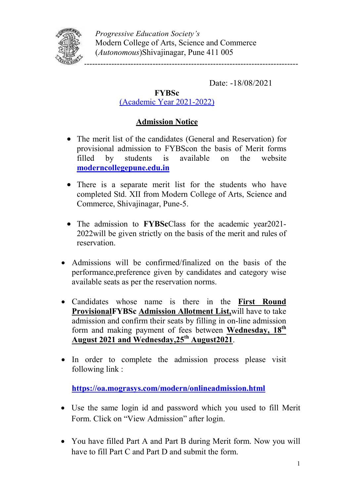

Date: -18/08/2021

## FYBSc (Academic Year 2021-2022)

## Admission Notice

- The merit list of the candidates (General and Reservation) for provisional admission to FYBScon the basis of Merit forms filled by students is available on the website moderncollegepune.edu.in
- There is a separate merit list for the students who have completed Std. XII from Modern College of Arts, Science and Commerce, Shivajinagar, Pune-5.
- The admission to FYBScClass for the academic year2021-2022will be given strictly on the basis of the merit and rules of reservation.
- Admissions will be confirmed/finalized on the basis of the performance,preference given by candidates and category wise available seats as per the reservation norms.
- Candidates whose name is there in the First Round ProvisionalFYBSc Admission Allotment List,will have to take admission and confirm their seats by filling in on-line admission form and making payment of fees between Wednesday, 18<sup>th</sup> August 2021 and Wednesday,  $25^{th}$  August  $2021$ .
- In order to complete the admission process please visit following link :

https://oa.mograsys.com/modern/onlineadmission.html

- Use the same login id and password which you used to fill Merit Form. Click on "View Admission" after login.
- You have filled Part A and Part B during Merit form. Now you will have to fill Part C and Part D and submit the form.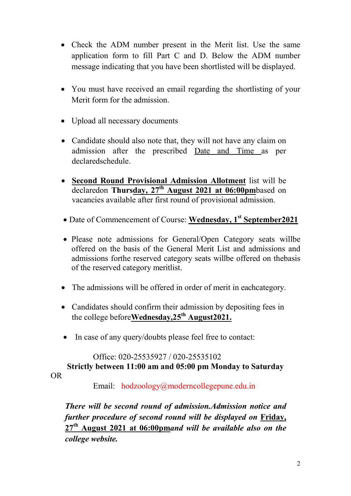- Check the ADM number present in the Merit list. Use the same application form to fill Part C and D. Below the ADM number message indicating that you have been shortlisted will be displayed.
- You must have received an email regarding the shortlisting of your Merit form for the admission.
- Upload all necessary documents
- Candidate should also note that, they will not have any claim on admission after the prescribed Date and Time as per declaredschedule.
- Second Round Provisional Admission Allotment list will be declaredon Thursday,  $27^{th}$  August 2021 at 06:00pm based on vacancies available after first round of provisional admission.
- Date of Commencement of Course: Wednesday, 1<sup>st</sup> September 2021
- Please note admissions for General/Open Category seats willbe offered on the basis of the General Merit List and admissions and admissions forthe reserved category seats willbe offered on thebasis of the reserved category meritlist.
- The admissions will be offered in order of merit in eachcategory.
- Candidates should confirm their admission by depositing fees in the college before Wednesday,  $25^{th}$  August 2021.
- In case of any query/doubts please feel free to contact:

## Office: 020-25535927 / 020-25535102

 Strictly between 11:00 am and 05:00 pm Monday to Saturday OR

Email: hodzoology@moderncollegepune.edu.in

There will be second round of admission.Admission notice and further procedure of second round will be displayed on Friday,  $27<sup>th</sup>$  August 2021 at 06:00pmand will be available also on the college website.